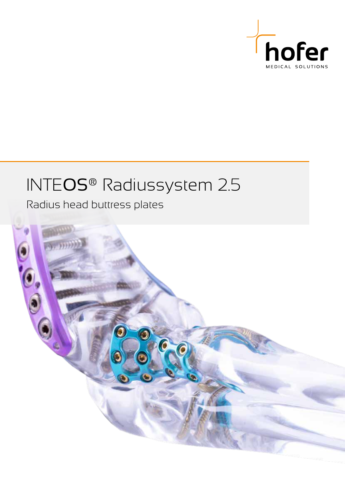

## INTEOS® Radiussystem 2.5

Radius head buttress plates

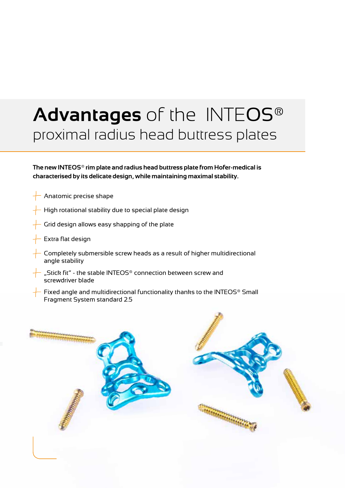# **Advantages** of the INTEOS® proximal radius head buttress plates

**The new INTEOS® rim plate and radius head buttress plate from Hofer-medical is characterised by its delicate design, while maintaining maximal stability.**

- Anatomic precise shape
- High rotational stability due to special plate design
- Grid design allows easy shapping of the plate
- Extra flat design
- Completely submersible screw heads as a result of higher multidirectional angle stability
- "Stick fit" the stable INTEOS® connection between screw and screwdriver blade
- Fixed angle and multidirectional functionality thanks to the INTEOS® Small Fragment System standard 2.5

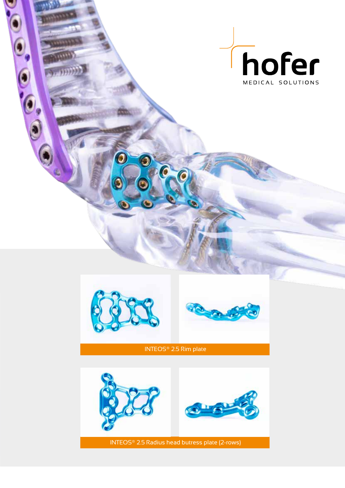



0

 $\bullet$ 

6



INTEOS® 2.5 Rim plate